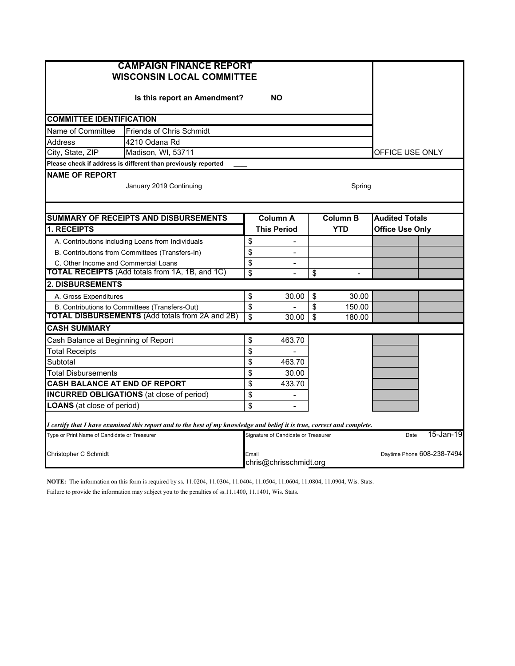| <b>CAMPAIGN FINANCE REPORT</b><br><b>WISCONSIN LOCAL COMMITTEE</b>                                                      |                                     |                       |    |            |                        |           |  |  |  |  |  |
|-------------------------------------------------------------------------------------------------------------------------|-------------------------------------|-----------------------|----|------------|------------------------|-----------|--|--|--|--|--|
| Is this report an Amendment?                                                                                            |                                     |                       |    |            |                        |           |  |  |  |  |  |
| <b>COMMITTEE IDENTIFICATION</b>                                                                                         |                                     |                       |    |            |                        |           |  |  |  |  |  |
| Name of Committee<br><b>Friends of Chris Schmidt</b>                                                                    |                                     |                       |    |            |                        |           |  |  |  |  |  |
| <b>Address</b><br>4210 Odana Rd                                                                                         |                                     |                       |    |            |                        |           |  |  |  |  |  |
| City, State, ZIP<br>Madison, WI, 53711                                                                                  | OFFICE USE ONLY                     |                       |    |            |                        |           |  |  |  |  |  |
| Please check if address is different than previously reported                                                           |                                     |                       |    |            |                        |           |  |  |  |  |  |
| <b>NAME OF REPORT</b><br>January 2019 Continuing<br>Spring                                                              |                                     |                       |    |            |                        |           |  |  |  |  |  |
| <b>SUMMARY OF RECEIPTS AND DISBURSEMENTS</b>                                                                            | <b>Column B</b>                     | <b>Audited Totals</b> |    |            |                        |           |  |  |  |  |  |
| <b>1. RECEIPTS</b>                                                                                                      |                                     | <b>This Period</b>    |    | <b>YTD</b> | <b>Office Use Only</b> |           |  |  |  |  |  |
| A. Contributions including Loans from Individuals                                                                       |                                     |                       |    |            |                        |           |  |  |  |  |  |
| B. Contributions from Committees (Transfers-In)                                                                         |                                     |                       |    |            |                        |           |  |  |  |  |  |
| C. Other Income and Commercial Loans                                                                                    | \$                                  |                       |    |            |                        |           |  |  |  |  |  |
| <b>TOTAL RECEIPTS</b> (Add totals from 1A, 1B, and 1C)                                                                  | \$                                  |                       | \$ |            |                        |           |  |  |  |  |  |
| <b>2. DISBURSEMENTS</b>                                                                                                 |                                     |                       |    |            |                        |           |  |  |  |  |  |
| A. Gross Expenditures                                                                                                   | \$                                  | 30.00                 | \$ | 30.00      |                        |           |  |  |  |  |  |
| B. Contributions to Committees (Transfers-Out)                                                                          | \$                                  |                       | \$ | 150.00     |                        |           |  |  |  |  |  |
| <b>TOTAL DISBURSEMENTS (Add totals from 2A and 2B)</b>                                                                  | $\overline{\mathbf{s}}$             | 30.00                 | \$ | 180.00     |                        |           |  |  |  |  |  |
| <b>CASH SUMMARY</b>                                                                                                     |                                     |                       |    |            |                        |           |  |  |  |  |  |
| Cash Balance at Beginning of Report                                                                                     | \$                                  | 463.70                |    |            |                        |           |  |  |  |  |  |
| Total Receipts                                                                                                          | \$                                  |                       |    |            |                        |           |  |  |  |  |  |
| Subtotal                                                                                                                | \$                                  | 463.70                |    |            |                        |           |  |  |  |  |  |
| Total Disbursements                                                                                                     | \$                                  | 30.00                 |    |            |                        |           |  |  |  |  |  |
| <b>CASH BALANCE AT END OF REPORT</b>                                                                                    | \$                                  | 433.70                |    |            |                        |           |  |  |  |  |  |
| <b>INCURRED OBLIGATIONS</b> (at close of period)                                                                        | \$                                  |                       |    |            |                        |           |  |  |  |  |  |
| <b>LOANS</b> (at close of period)                                                                                       | \$                                  |                       |    |            |                        |           |  |  |  |  |  |
| I certify that I have examined this report and to the best of my knowledge and belief it is true, correct and complete. |                                     |                       |    |            |                        |           |  |  |  |  |  |
| Type or Print Name of Candidate or Treasurer                                                                            | Signature of Candidate or Treasurer |                       |    |            | Date                   | 15-Jan-19 |  |  |  |  |  |
| Daytime Phone 608-238-7494<br>Christopher C Schmidt<br>Email<br>chris@chrisschmidt.org                                  |                                     |                       |    |            |                        |           |  |  |  |  |  |

**NOTE:** The information on this form is required by ss. 11.0204, 11.0304, 11.0404, 11.0504, 11.0604, 11.0804, 11.0904, Wis. Stats. Failure to provide the information may subject you to the penalties of ss.11.1400, 11.1401, Wis. Stats.